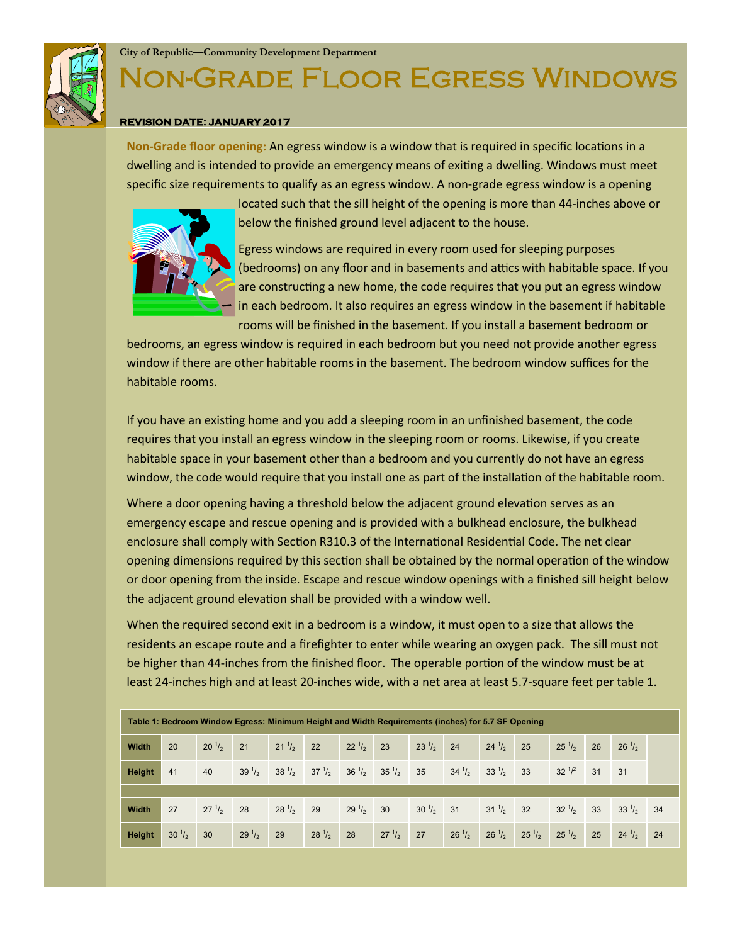

#### **City of Republic—Community Development Department**

# **N-GRADE FLOOR EGRESS WINDOWS**

#### **REVISION DATE: JANUARY 2017**

**Non-Grade floor opening:** An egress window is a window that is required in specific locations in a dwelling and is intended to provide an emergency means of exiting a dwelling. Windows must meet specific size requirements to qualify as an egress window. A non-grade egress window is a opening



located such that the sill height of the opening is more than 44-inches above or below the finished ground level adjacent to the house.

Egress windows are required in every room used for sleeping purposes (bedrooms) on any floor and in basements and attics with habitable space. If you are constructing a new home, the code requires that you put an egress window in each bedroom. It also requires an egress window in the basement if habitable rooms will be finished in the basement. If you install a basement bedroom or

bedrooms, an egress window is required in each bedroom but you need not provide another egress window if there are other habitable rooms in the basement. The bedroom window suffices for the habitable rooms.

If you have an existing home and you add a sleeping room in an unfinished basement, the code requires that you install an egress window in the sleeping room or rooms. Likewise, if you create habitable space in your basement other than a bedroom and you currently do not have an egress window, the code would require that you install one as part of the installation of the habitable room.

Where a door opening having a threshold below the adjacent ground elevation serves as an emergency escape and rescue opening and is provided with a bulkhead enclosure, the bulkhead enclosure shall comply with Section R310.3 of the International Residential Code. The net clear opening dimensions required by this section shall be obtained by the normal operation of the window or door opening from the inside. Escape and rescue window openings with a finished sill height below the adjacent ground elevation shall be provided with a window well.

When the required second exit in a bedroom is a window, it must open to a size that allows the residents an escape route and a firefighter to enter while wearing an oxygen pack. The sill must not be higher than 44-inches from the finished floor. The operable portion of the window must be at least 24-inches high and at least 20-inches wide, with a net area at least 5.7-square feet per table 1.

| Table 1: Bedroom Window Egress: Minimum Height and Width Requirements (inches) for 5.7 SF Opening |               |                  |                 |                  |                  |                 |               |                 |                 |                  |            |                  |    |            |    |
|---------------------------------------------------------------------------------------------------|---------------|------------------|-----------------|------------------|------------------|-----------------|---------------|-----------------|-----------------|------------------|------------|------------------|----|------------|----|
| Width                                                                                             | 20            | $20^{1/2}$       | 21              | $21 \frac{1}{2}$ | 22               | $22^{1/2}$      | 23            | $23^{1/2}$      | 24              | $24^{1/2}$       | 25         | $25^{1/2}$       | 26 | $26^{1/2}$ |    |
| <b>Height</b>                                                                                     | 41            | 40               | $39\frac{1}{2}$ | $38\frac{1}{2}$  | $37 \frac{1}{2}$ | $36\frac{1}{2}$ | $35^{1}/_{2}$ | 35              | $34\frac{1}{2}$ | $33^{1/2}$       | 33         | $32^{1/2}$       | 31 | 31         |    |
|                                                                                                   |               |                  |                 |                  |                  |                 |               |                 |                 |                  |            |                  |    |            |    |
| Width                                                                                             | 27            | $27 \frac{1}{2}$ | 28              | $28^{1/2}$       | 29               | $29\frac{1}{2}$ | 30            | $30\frac{1}{2}$ | 31              | $31 \frac{1}{2}$ | 32         | $32 \frac{1}{2}$ | 33 | $33^{1/2}$ | 34 |
| <b>Height</b>                                                                                     | $30^{1}/_{2}$ | 30               | $29^{1/2}$      | 29               | $28^{1/2}$       | 28              | $27^{1/2}$    | 27              | $26^{1/2}$      | $26^{1/2}$       | $25^{1/2}$ | $25^{1/2}$       | 25 | $24^{1/2}$ | 24 |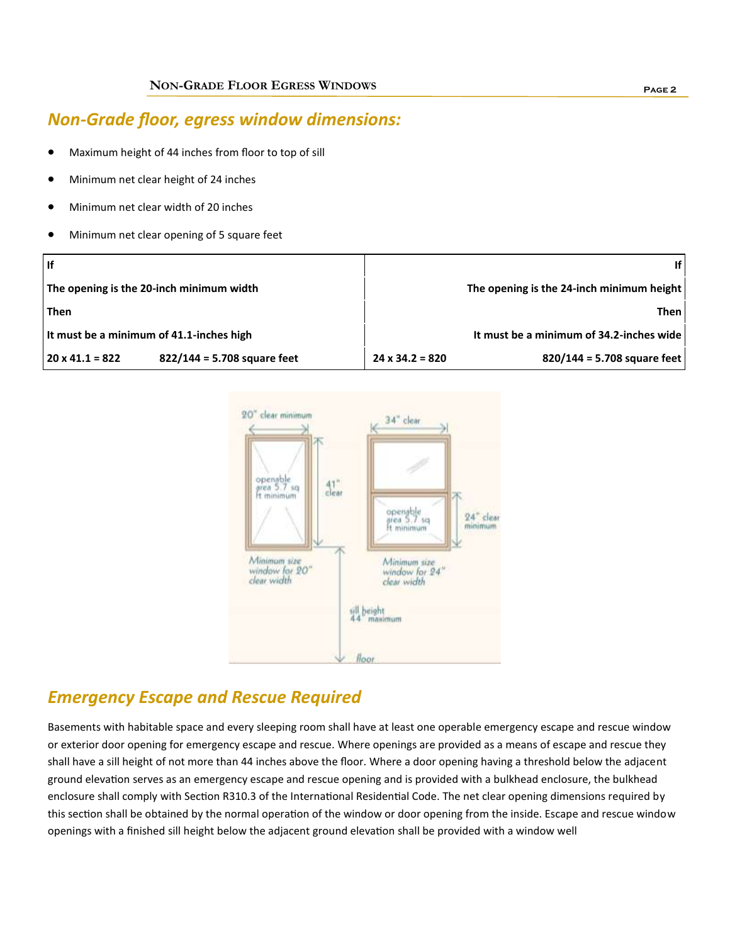### *Non-Grade floor, egress window dimensions:*

- Maximum height of 44 inches from floor to top of sill
- Minimum net clear height of 24 inches
- Minimum net clear width of 20 inches
- Minimum net clear opening of 5 square feet

| l If                                                    | ۱f١                                                   |  |  |  |  |  |
|---------------------------------------------------------|-------------------------------------------------------|--|--|--|--|--|
| The opening is the 20-inch minimum width                | The opening is the 24-inch minimum height             |  |  |  |  |  |
| Then                                                    | Then I                                                |  |  |  |  |  |
| It must be a minimum of 41.1-inches high                | It must be a minimum of 34.2-inches wide              |  |  |  |  |  |
| $822/144 = 5.708$ square feet<br>$20 \times 41.1 = 822$ | 820/144 = 5.708 square feet<br>$24 \times 34.2 = 820$ |  |  |  |  |  |



### *Emergency Escape and Rescue Required*

Basements with habitable space and every sleeping room shall have at least one operable emergency escape and rescue window or exterior door opening for emergency escape and rescue. Where openings are provided as a means of escape and rescue they shall have a sill height of not more than 44 inches above the floor. Where a door opening having a threshold below the adjacent ground elevation serves as an emergency escape and rescue opening and is provided with a bulkhead enclosure, the bulkhead enclosure shall comply with Section R310.3 of the International Residential Code. The net clear opening dimensions required by this section shall be obtained by the normal operation of the window or door opening from the inside. Escape and rescue window openings with a finished sill height below the adjacent ground elevation shall be provided with a window well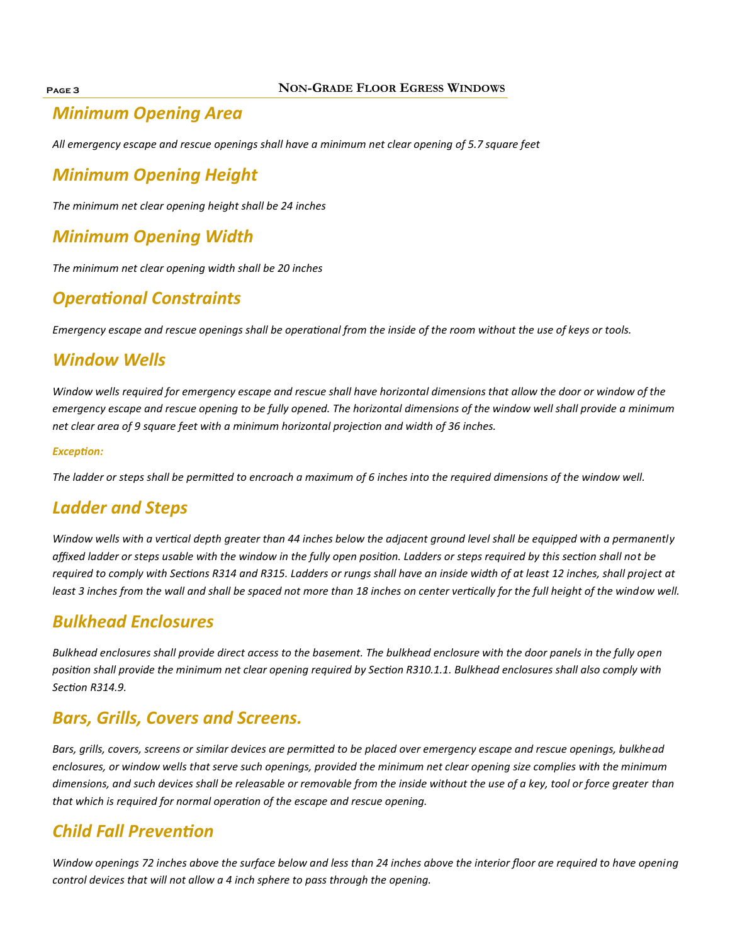#### **Page 3 NON-GRADE FLOOR EGRESS WINDOWS**

## *Minimum Opening Area*

*All emergency escape and rescue openings shall have a minimum net clear opening of 5.7 square feet* 

## *Minimum Opening Height*

*The minimum net clear opening height shall be 24 inches* 

## *Minimum Opening Width*

*The minimum net clear opening width shall be 20 inches* 

## *Operational Constraints*

*Emergency escape and rescue openings shall be operational from the inside of the room without the use of keys or tools.* 

#### *Window Wells*

*Window wells required for emergency escape and rescue shall have horizontal dimensions that allow the door or window of the emergency escape and rescue opening to be fully opened. The horizontal dimensions of the window well shall provide a minimum net clear area of 9 square feet with a minimum horizontal projection and width of 36 inches.* 

#### *Exception:*

*The ladder or steps shall be permitted to encroach a maximum of 6 inches into the required dimensions of the window well.*

### *Ladder and Steps*

*Window wells with a vertical depth greater than 44 inches below the adjacent ground level shall be equipped with a permanently affixed ladder or steps usable with the window in the fully open position. Ladders or steps required by this section shall not be required to comply with Sections R314 and R315. Ladders or rungs shall have an inside width of at least 12 inches, shall project at*  least 3 inches from the wall and shall be spaced not more than 18 inches on center vertically for the full height of the window well.

#### *Bulkhead Enclosures*

*Bulkhead enclosures shall provide direct access to the basement. The bulkhead enclosure with the door panels in the fully open position shall provide the minimum net clear opening required by Section R310.1.1. Bulkhead enclosures shall also comply with Section R314.9.*

### *Bars, Grills, Covers and Screens.*

*Bars, grills, covers, screens or similar devices are permitted to be placed over emergency escape and rescue openings, bulkhead enclosures, or window wells that serve such openings, provided the minimum net clear opening size complies with the minimum dimensions, and such devices shall be releasable or removable from the inside without the use of a key, tool or force greater than that which is required for normal operation of the escape and rescue opening.*

## *Child Fall Prevention*

*Window openings 72 inches above the surface below and less than 24 inches above the interior floor are required to have opening control devices that will not allow a 4 inch sphere to pass through the opening.*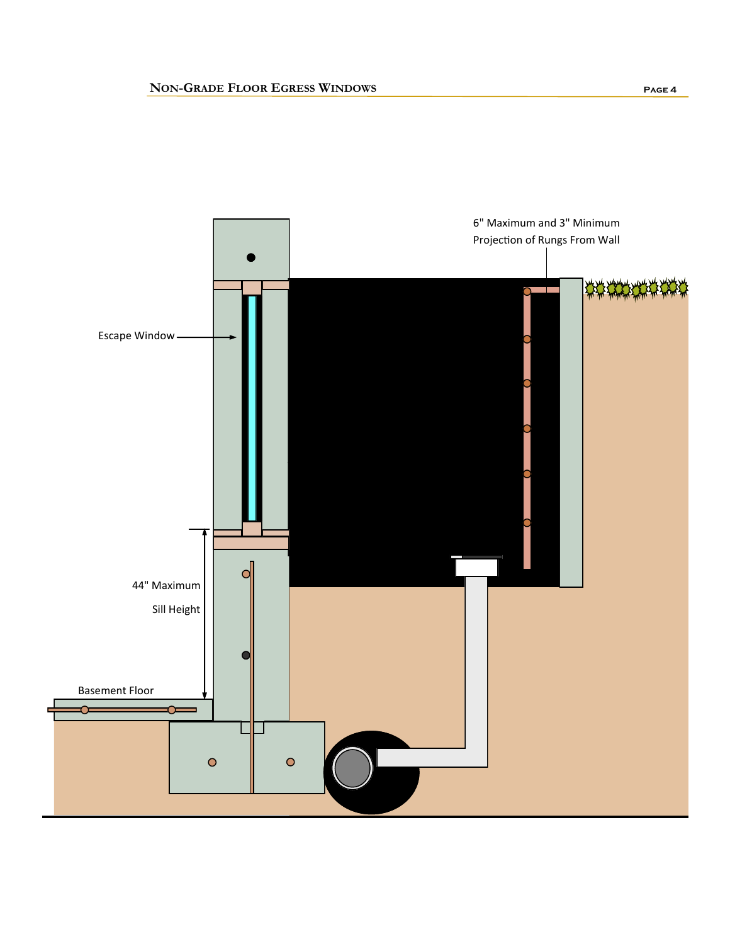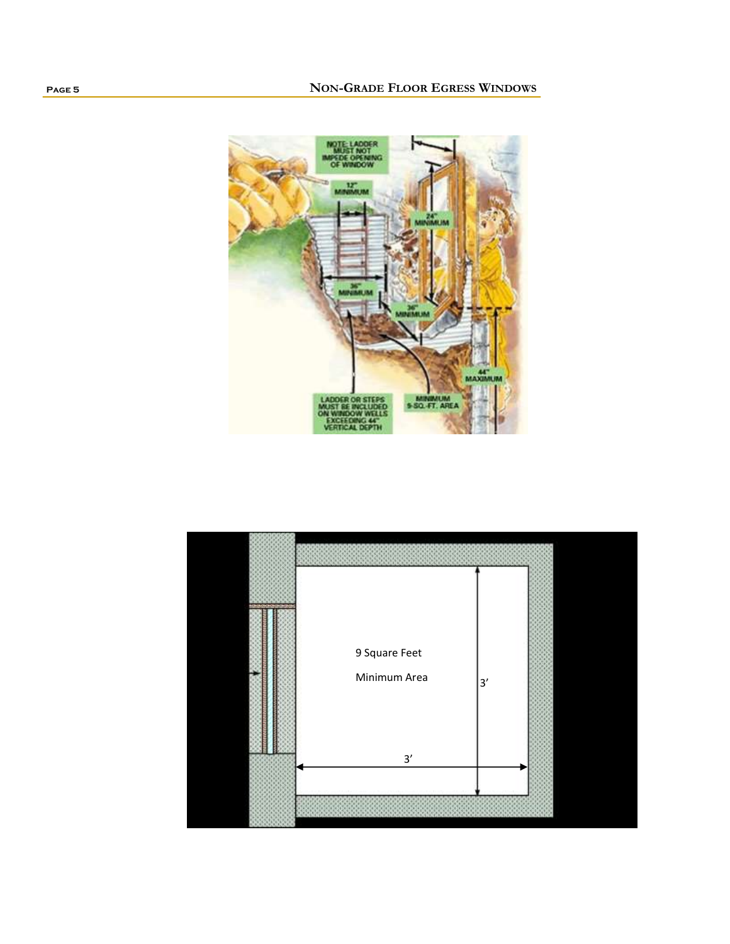